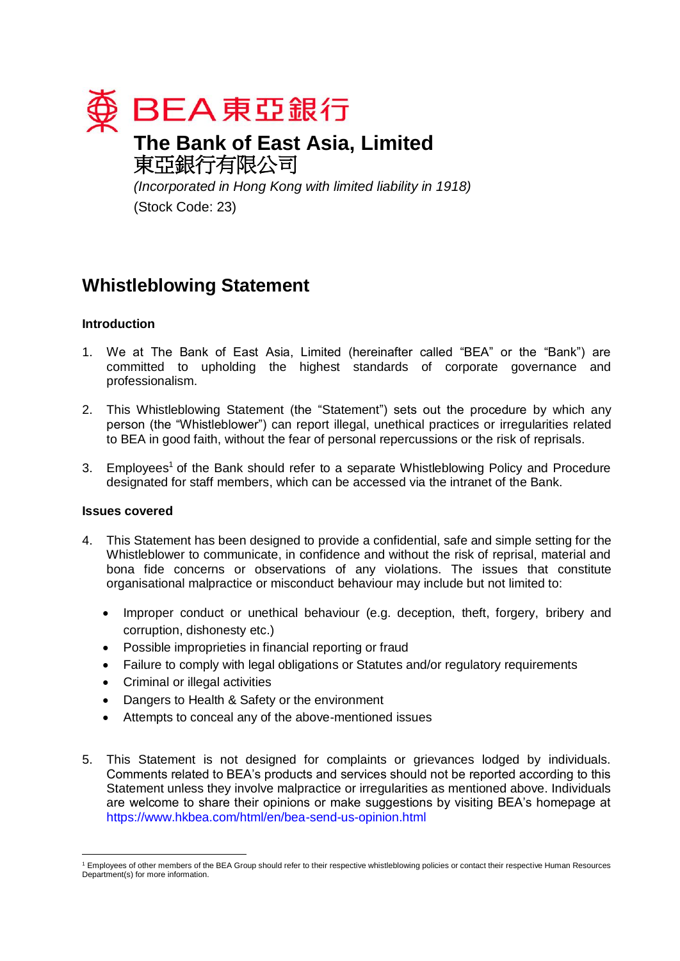

# **The Bank of East Asia, Limited** 東亞銀行有限公司

*(Incorporated in Hong Kong with limited liability in 1918)* (Stock Code: 23)

# **Whistleblowing Statement**

# **Introduction**

- 1. We at The Bank of East Asia, Limited (hereinafter called "BEA" or the "Bank") are committed to upholding the highest standards of corporate governance and professionalism.
- 2. This Whistleblowing Statement (the "Statement") sets out the procedure by which any person (the "Whistleblower") can report illegal, unethical practices or irregularities related to BEA in good faith, without the fear of personal repercussions or the risk of reprisals.
- 3. Employees<sup>1</sup> of the Bank should refer to a separate Whistleblowing Policy and Procedure designated for staff members, which can be accessed via the intranet of the Bank.

## **Issues covered**

- 4. This Statement has been designed to provide a confidential, safe and simple setting for the Whistleblower to communicate, in confidence and without the risk of reprisal, material and bona fide concerns or observations of any violations. The issues that constitute organisational malpractice or misconduct behaviour may include but not limited to:
	- Improper conduct or unethical behaviour (e.g. deception, theft, forgery, bribery and corruption, dishonesty etc.)
	- Possible improprieties in financial reporting or fraud
	- Failure to comply with legal obligations or Statutes and/or regulatory requirements
	- Criminal or illegal activities
	- Dangers to Health & Safety or the environment
	- Attempts to conceal any of the above-mentioned issues
- 5. This Statement is not designed for complaints or grievances lodged by individuals. Comments related to BEA's products and services should not be reported according to this Statement unless they involve malpractice or irregularities as mentioned above. Individuals are welcome to share their opinions or make suggestions by visiting BEA's homepage at <https://www.hkbea.com/html/en/bea-send-us-opinion.html>

<sup>&</sup>lt;u>.</u> <sup>1</sup> Employees of other members of the BEA Group should refer to their respective whistleblowing policies or contact their respective Human Resources Department(s) for more information.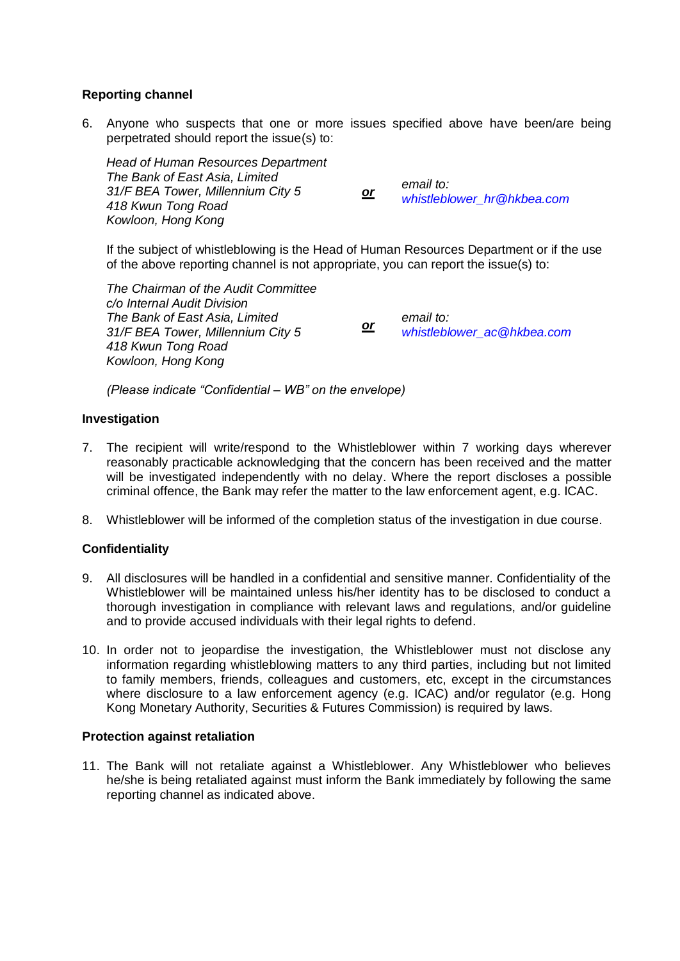# **Reporting channel**

6. Anyone who suspects that one or more issues specified above have been/are being perpetrated should report the issue(s) to:

*Head of Human Resources Department The Bank of East Asia, Limited 31/F BEA Tower, Millennium City 5 or email to: 418 Kwun Tong Road Kowloon, Hong Kong*

*[whistleblower\\_hr@hkbea.com](mailto:whistleblower_hr@hkbea.com)*

If the subject of whistleblowing is the Head of Human Resources Department or if the use of the above reporting channel is not appropriate, you can report the issue(s) to:

*The Chairman of the Audit Committee c/o Internal Audit Division The Bank of East Asia, Limited 31/F BEA Tower, Millennium City 5 or email to: 418 Kwun Tong Road Kowloon, Hong Kong [whistleblower\\_ac@hkbea.com](mailto:whistleblower_ac@hkbea.com)*

*(Please indicate "Confidential – WB" on the envelope)*

#### **Investigation**

- 7. The recipient will write/respond to the Whistleblower within 7 working days wherever reasonably practicable acknowledging that the concern has been received and the matter will be investigated independently with no delay. Where the report discloses a possible criminal offence, the Bank may refer the matter to the law enforcement agent, e.g. ICAC.
- 8. Whistleblower will be informed of the completion status of the investigation in due course.

## **Confidentiality**

- 9. All disclosures will be handled in a confidential and sensitive manner. Confidentiality of the Whistleblower will be maintained unless his/her identity has to be disclosed to conduct a thorough investigation in compliance with relevant laws and regulations, and/or guideline and to provide accused individuals with their legal rights to defend.
- 10. In order not to jeopardise the investigation, the Whistleblower must not disclose any information regarding whistleblowing matters to any third parties, including but not limited to family members, friends, colleagues and customers, etc, except in the circumstances where disclosure to a law enforcement agency (e.g. ICAC) and/or regulator (e.g. Hong Kong Monetary Authority, Securities & Futures Commission) is required by laws.

#### **Protection against retaliation**

11. The Bank will not retaliate against a Whistleblower. Any Whistleblower who believes he/she is being retaliated against must inform the Bank immediately by following the same reporting channel as indicated above.